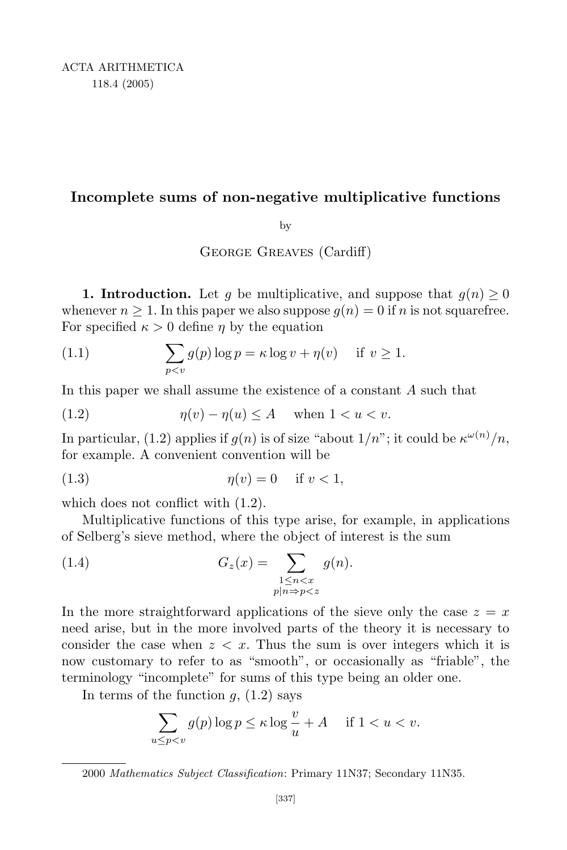## **Incomplete sums of non-negative multiplicative functions**

by

George Greaves (Cardiff)

**1. Introduction.** Let *q* be multiplicative, and suppose that  $q(n) \geq 0$ whenever  $n \geq 1$ . In this paper we also suppose  $q(n) = 0$  if *n* is not squarefree. For specified  $\kappa > 0$  define  $\eta$  by the equation

(1.1) 
$$
\sum_{p
$$

In this paper we shall assume the existence of a constant *A* such that

(1.2) 
$$
\eta(v) - \eta(u) \le A \quad \text{when } 1 < u < v.
$$

In particular, (1.2) applies if  $g(n)$  is of size "about  $1/n$ "; it could be  $\kappa^{\omega(n)}/n$ , for example. A convenient convention will be

$$
\eta(v) = 0 \quad \text{if } v < 1,
$$

which does not conflict with  $(1.2)$ .

Multiplicative functions of this type arise, for example, in applications of Selberg's sieve method, where the object of interest is the sum

(1.4) 
$$
G_z(x) = \sum_{\substack{1 \leq n < x \\ p|n \Rightarrow p < z}} g(n).
$$

In the more straightforward applications of the sieve only the case  $z = x$ need arise, but in the more involved parts of the theory it is necessary to consider the case when  $z < x$ . Thus the sum is over integers which it is now customary to refer to as "smooth", or occasionally as "friable", the terminology "incomplete" for sums of this type being an older one.

In terms of the function  $g$ ,  $(1.2)$  says

$$
\sum_{u \le p < v} g(p) \log p \le \kappa \log \frac{v}{u} + A \quad \text{ if } 1 < u < v.
$$

<sup>2000</sup> *Mathematics Subject Classification*: Primary 11N37; Secondary 11N35.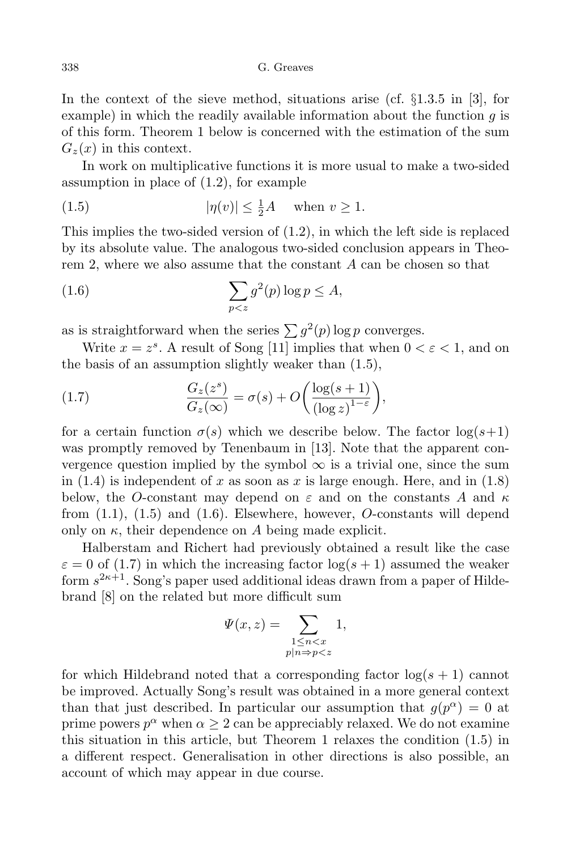In the context of the sieve method, situations arise (cf. *§*1.3.5 in [3], for example) in which the readily available information about the function *g* is of this form. Theorem 1 below is concerned with the estimation of the sum  $G_z(x)$  in this context.

In work on multiplicative functions it is more usual to make a two-sided assumption in place of (1.2), for example

(1.5) 
$$
|\eta(v)| \le \frac{1}{2}A \quad \text{when } v \ge 1.
$$

This implies the two-sided version of (1.2), in which the left side is replaced by its absolute value. The analogous two-sided conclusion appears in Theorem 2, where we also assume that the constant *A* can be chosen so that

(1.6) 
$$
\sum_{p
$$

as is straightforward when the series  $\sum g^2(p) \log p$  converges.

Write  $x = z^s$ . A result of Song [11] implies that when  $0 < \varepsilon < 1$ , and on the basis of an assumption slightly weaker than (1.5),

(1.7) 
$$
\frac{G_z(z^s)}{G_z(\infty)} = \sigma(s) + O\left(\frac{\log(s+1)}{(\log z)^{1-\varepsilon}}\right),
$$

for a certain function  $\sigma(s)$  which we describe below. The factor  $\log(s+1)$ was promptly removed by Tenenbaum in [13]. Note that the apparent convergence question implied by the symbol  $\infty$  is a trivial one, since the sum in  $(1.4)$  is independent of x as soon as x is large enough. Here, and in  $(1.8)$ below, the *O*-constant may depend on *ε* and on the constants *A* and *κ* from (1.1), (1.5) and (1.6). Elsewhere, however, *O*-constants will depend only on  $\kappa$ , their dependence on A being made explicit.

Halberstam and Richert had previously obtained a result like the case  $\varepsilon = 0$  of (1.7) in which the increasing factor  $\log(s + 1)$  assumed the weaker form *s* <sup>2</sup>*κ*+1. Song's paper used additional ideas drawn from a paper of Hildebrand [8] on the related but more difficult sum

$$
\Psi(x,z) = \sum_{\substack{1 \le n < x \\ p|n \Rightarrow p < z}} 1,
$$

for which Hildebrand noted that a corresponding factor  $\log(s + 1)$  cannot be improved. Actually Song's result was obtained in a more general context than that just described. In particular our assumption that  $g(p^{\alpha}) = 0$  at prime powers  $p^{\alpha}$  when  $\alpha \geq 2$  can be appreciably relaxed. We do not examine this situation in this article, but Theorem 1 relaxes the condition (1.5) in a different respect. Generalisation in other directions is also possible, an account of which may appear in due course.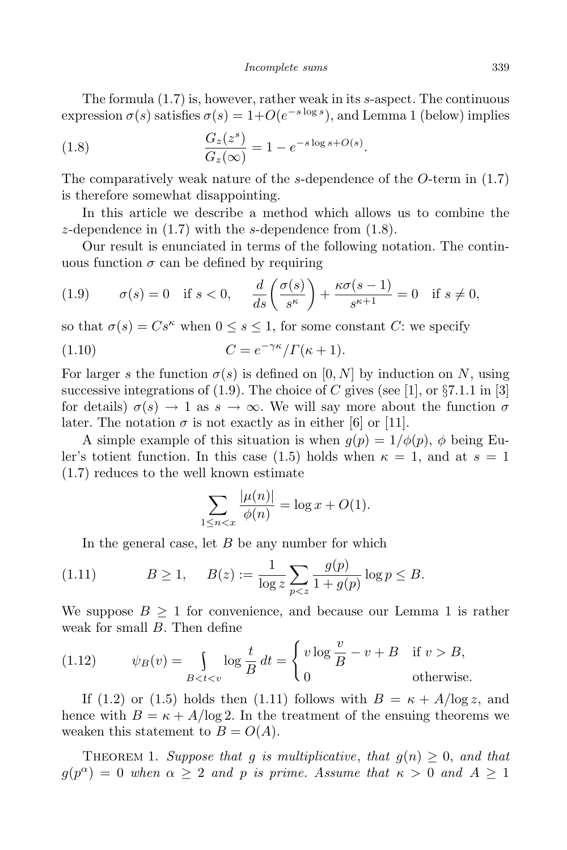The formula (1.7) is, however, rather weak in its *s*-aspect. The continuous expression  $\sigma(s)$  satisfies  $\sigma(s) = 1 + O(e^{-s \log s})$ , and Lemma 1 (below) implies

(1.8) 
$$
\frac{G_z(z^s)}{G_z(\infty)} = 1 - e^{-s \log s + O(s)}.
$$

The comparatively weak nature of the *s*-dependence of the *O*-term in (1.7) is therefore somewhat disappointing.

In this article we describe a method which allows us to combine the *z*-dependence in (1.7) with the *s*-dependence from (1.8).

Our result is enunciated in terms of the following notation. The continuous function  $\sigma$  can be defined by requiring

(1.9) 
$$
\sigma(s) = 0 \quad \text{if } s < 0, \quad \frac{d}{ds} \left( \frac{\sigma(s)}{s^{\kappa}} \right) + \frac{\kappa \sigma(s-1)}{s^{\kappa+1}} = 0 \quad \text{if } s \neq 0,
$$

so that  $\sigma(s) = Cs^{\kappa}$  when  $0 \leq s \leq 1$ , for some constant *C*: we specify

(1.10) 
$$
C = e^{-\gamma \kappa} / \Gamma(\kappa + 1).
$$

For larger *s* the function  $\sigma(s)$  is defined on [0, N] by induction on N, using successive integrations of (1.9). The choice of *C* gives (see [1], or *§*7.1.1 in [3] for details)  $\sigma(s) \to 1$  as  $s \to \infty$ . We will say more about the function  $\sigma$ later. The notation  $\sigma$  is not exactly as in either [6] or [11].

A simple example of this situation is when  $q(p) = 1/\phi(p)$ ,  $\phi$  being Euler's totient function. In this case (1.5) holds when  $\kappa = 1$ , and at  $s = 1$ (1.7) reduces to the well known estimate

$$
\sum_{1 \le n < x} \frac{|\mu(n)|}{\phi(n)} = \log x + O(1).
$$

In the general case, let *B* be any number for which

(1.11) 
$$
B \ge 1, \quad B(z) := \frac{1}{\log z} \sum_{p < z} \frac{g(p)}{1 + g(p)} \log p \le B.
$$

We suppose  $B \geq 1$  for convenience, and because our Lemma 1 is rather weak for small *B*. Then define

(1.12) 
$$
\psi_B(v) = \int_{B < t < v} \log \frac{t}{B} dt = \begin{cases} v \log \frac{v}{B} - v + B & \text{if } v > B, \\ 0 & \text{otherwise.} \end{cases}
$$

If (1.2) or (1.5) holds then (1.11) follows with  $B = \kappa + A/\log z$ , and hence with  $B = \kappa + A/\log 2$ . In the treatment of the ensuing theorems we weaken this statement to  $B = O(A)$ .

THEOREM 1. *Suppose that q is multiplicative*, *that*  $q(n) \geq 0$ , *and that*  $g(p^{\alpha}) = 0$  *when*  $\alpha \geq 2$  *and p is prime. Assume that*  $\kappa > 0$  *and*  $A \geq 1$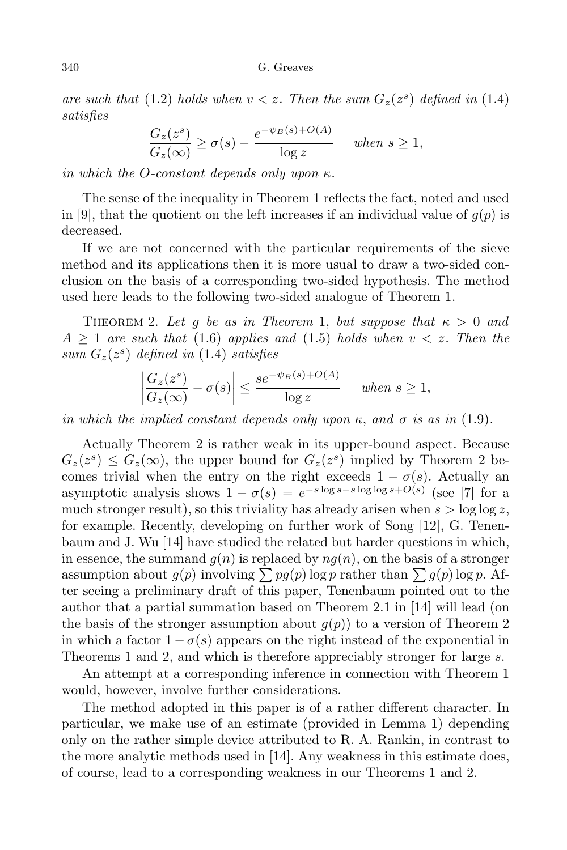*are such that* (1.2) *holds when*  $v < z$ *. Then the sum*  $G_z(z^s)$  *defined in* (1.4) *satisfies*

$$
\frac{G_z(z^s)}{G_z(\infty)} \ge \sigma(s) - \frac{e^{-\psi_B(s) + O(A)}}{\log z} \quad when \ s \ge 1,
$$

*in which the O-constant depends only upon κ.*

The sense of the inequality in Theorem 1 reflects the fact, noted and used in [9], that the quotient on the left increases if an individual value of  $g(p)$  is decreased.

If we are not concerned with the particular requirements of the sieve method and its applications then it is more usual to draw a two-sided conclusion on the basis of a corresponding two-sided hypothesis. The method used here leads to the following two-sided analogue of Theorem 1.

THEOREM 2. Let g be as in Theorem 1, but suppose that  $\kappa > 0$  and  $A \geq 1$  *are such that* (1.6) *applies and* (1.5) *holds when*  $v < z$ *. Then the sum*  $G_z(z^s)$  *defined in* (1.4) *satisfies* 

$$
\left|\frac{G_z(z^s)}{G_z(\infty)} - \sigma(s)\right| \le \frac{s e^{-\psi_B(s) + O(A)}}{\log z} \quad when \ s \ge 1,
$$

*in which the implied constant depends only upon*  $\kappa$ , and  $\sigma$  *is as in* (1.9).

Actually Theorem 2 is rather weak in its upper-bound aspect. Because  $G_z(z^s) \leq G_z(\infty)$ , the upper bound for  $G_z(z^s)$  implied by Theorem 2 becomes trivial when the entry on the right exceeds  $1 - \sigma(s)$ . Actually an asymptotic analysis shows  $1 - \sigma(s) = e^{-s \log s - s \log \log s + O(s)}$  (see [7] for a much stronger result), so this triviality has already arisen when  $s > \log \log z$ , for example. Recently, developing on further work of Song [12], G. Tenenbaum and J. Wu [14] have studied the related but harder questions in which, in essence, the summand  $g(n)$  is replaced by  $n g(n)$ , on the basis of a stronger assumption about  $g(p)$  involving  $\sum pg(p)$  log *p* rather than  $\sum g(p)$  log *p*. After seeing a preliminary draft of this paper, Tenenbaum pointed out to the author that a partial summation based on Theorem 2.1 in [14] will lead (on the basis of the stronger assumption about  $g(p)$  to a version of Theorem 2 in which a factor  $1 - \sigma(s)$  appears on the right instead of the exponential in Theorems 1 and 2, and which is therefore appreciably stronger for large *s*.

An attempt at a corresponding inference in connection with Theorem 1 would, however, involve further considerations.

The method adopted in this paper is of a rather different character. In particular, we make use of an estimate (provided in Lemma 1) depending only on the rather simple device attributed to R. A. Rankin, in contrast to the more analytic methods used in [14]. Any weakness in this estimate does, of course, lead to a corresponding weakness in our Theorems 1 and 2.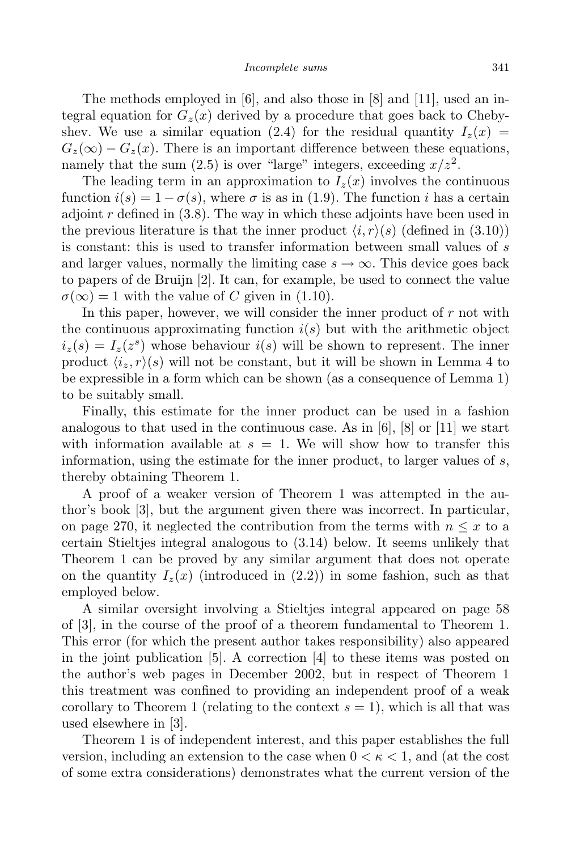The methods employed in [6], and also those in [8] and [11], used an integral equation for  $G_z(x)$  derived by a procedure that goes back to Chebyshev. We use a similar equation (2.4) for the residual quantity  $I_z(x)$  $G_z(\infty) - G_z(x)$ . There is an important difference between these equations, namely that the sum  $(2.5)$  is over "large" integers, exceeding  $x/z<sup>2</sup>$ .

The leading term in an approximation to  $I_z(x)$  involves the continuous function  $i(s) = 1 - \sigma(s)$ , where  $\sigma$  is as in (1.9). The function *i* has a certain adjoint *r* defined in (3.8). The way in which these adjoints have been used in the previous literature is that the inner product  $\langle i, r \rangle$  (defined in (3.10)) is constant: this is used to transfer information between small values of *s* and larger values, normally the limiting case  $s \to \infty$ . This device goes back to papers of de Bruijn [2]. It can, for example, be used to connect the value  $\sigma(\infty) = 1$  with the value of *C* given in (1.10).

In this paper, however, we will consider the inner product of *r* not with the continuous approximating function  $i(s)$  but with the arithmetic object  $i_z(s) = I_z(z^s)$  whose behaviour  $i(s)$  will be shown to represent. The inner product  $\langle i_z, r \rangle$  will not be constant, but it will be shown in Lemma 4 to be expressible in a form which can be shown (as a consequence of Lemma 1) to be suitably small.

Finally, this estimate for the inner product can be used in a fashion analogous to that used in the continuous case. As in  $[6]$ ,  $[8]$  or  $[11]$  we start with information available at  $s = 1$ . We will show how to transfer this information, using the estimate for the inner product, to larger values of *s*, thereby obtaining Theorem 1.

A proof of a weaker version of Theorem 1 was attempted in the author's book [3], but the argument given there was incorrect. In particular, on page 270, it neglected the contribution from the terms with  $n \leq x$  to a certain Stieltjes integral analogous to (3.14) below. It seems unlikely that Theorem 1 can be proved by any similar argument that does not operate on the quantity  $I_z(x)$  (introduced in (2.2)) in some fashion, such as that employed below.

A similar oversight involving a Stieltjes integral appeared on page 58 of [3], in the course of the proof of a theorem fundamental to Theorem 1. This error (for which the present author takes responsibility) also appeared in the joint publication [5]. A correction [4] to these items was posted on the author's web pages in December 2002, but in respect of Theorem 1 this treatment was confined to providing an independent proof of a weak corollary to Theorem 1 (relating to the context  $s = 1$ ), which is all that was used elsewhere in [3].

Theorem 1 is of independent interest, and this paper establishes the full version, including an extension to the case when  $0 < \kappa < 1$ , and (at the cost of some extra considerations) demonstrates what the current version of the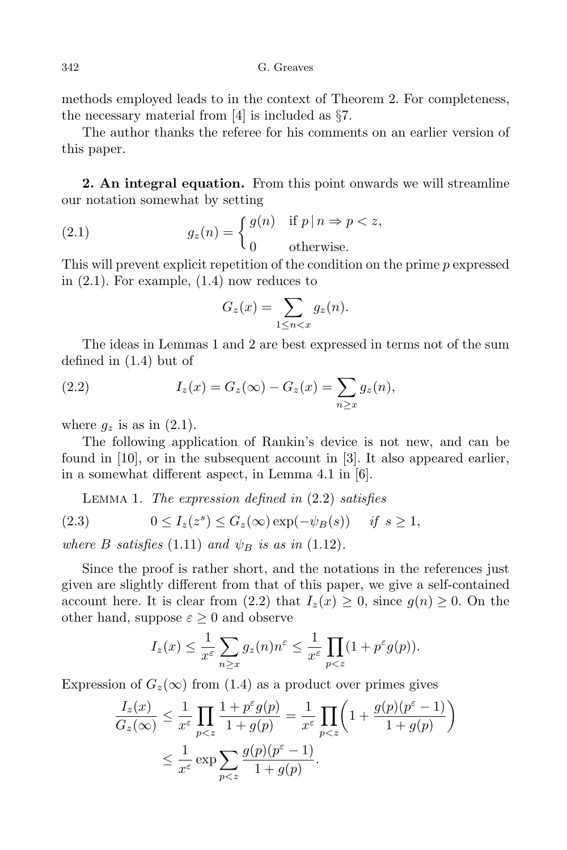methods employed leads to in the context of Theorem 2. For completeness, the necessary material from [4] is included as *§*7.

The author thanks the referee for his comments on an earlier version of this paper.

**2. An integral equation.** From this point onwards we will streamline our notation somewhat by setting

(2.1) 
$$
g_z(n) = \begin{cases} g(n) & \text{if } p | n \Rightarrow p < z, \\ 0 & \text{otherwise.} \end{cases}
$$

This will prevent explicit repetition of the condition on the prime *p* expressed in (2.1). For example, (1.4) now reduces to

$$
G_z(x) = \sum_{1 \leq n < x} g_z(n).
$$

The ideas in Lemmas 1 and 2 are best expressed in terms not of the sum defined in (1.4) but of

(2.2) 
$$
I_z(x) = G_z(\infty) - G_z(x) = \sum_{n \ge x} g_z(n),
$$

where  $q_z$  is as in  $(2.1)$ .

The following application of Rankin's device is not new, and can be found in [10], or in the subsequent account in [3]. It also appeared earlier, in a somewhat different aspect, in Lemma 4.1 in [6].

Lemma 1. *The expression defined in* (2.2) *satisfies*

(2.3) 
$$
0 \le I_z(z^s) \le G_z(\infty) \exp(-\psi_B(s)) \quad \text{if } s \ge 1,
$$

*where B satisfies* (1.11) *and*  $\psi_B$  *is as in* (1.12)*.* 

Since the proof is rather short, and the notations in the references just given are slightly different from that of this paper, we give a self-contained account here. It is clear from (2.2) that  $I_z(x) \geq 0$ , since  $g(n) \geq 0$ . On the other hand, suppose  $\varepsilon \geq 0$  and observe

$$
I_z(x) \leq \frac{1}{x^{\varepsilon}} \sum_{n \geq x} g_z(n) n^{\varepsilon} \leq \frac{1}{x^{\varepsilon}} \prod_{p < z} (1 + p^{\varepsilon} g(p)).
$$

Expression of  $G_z(\infty)$  from (1.4) as a product over primes gives

$$
\frac{I_z(x)}{G_z(\infty)} \le \frac{1}{x^{\varepsilon}} \prod_{p < z} \frac{1 + p^{\varepsilon} g(p)}{1 + g(p)} = \frac{1}{x^{\varepsilon}} \prod_{p < z} \left( 1 + \frac{g(p)(p^{\varepsilon} - 1)}{1 + g(p)} \right)
$$
\n
$$
\le \frac{1}{x^{\varepsilon}} \exp \sum_{p < z} \frac{g(p)(p^{\varepsilon} - 1)}{1 + g(p)}.
$$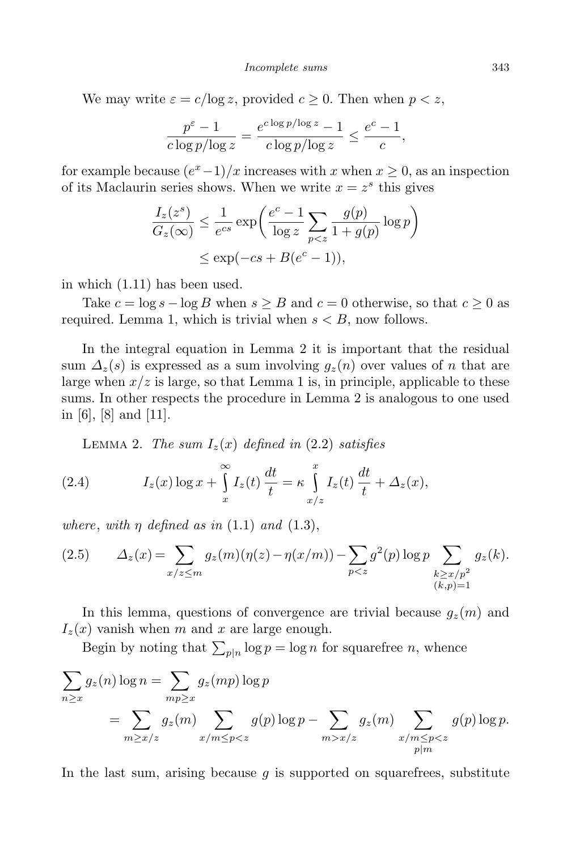We may write  $\varepsilon = c/\log z$ , provided  $c \geq 0$ . Then when  $p < z$ ,

$$
\frac{p^{\varepsilon}-1}{c\log p/\log z} = \frac{e^{c\log p/\log z}-1}{c\log p/\log z} \le \frac{e^c-1}{c},
$$

for example because  $(e^x - 1)/x$  increases with *x* when  $x \ge 0$ , as an inspection of its Maclaurin series shows. When we write  $x = z^s$  this gives

$$
\frac{I_z(z^s)}{G_z(\infty)} \le \frac{1}{e^{cs}} \exp\left(\frac{e^c - 1}{\log z} \sum_{p < z} \frac{g(p)}{1 + g(p)} \log p\right)
$$
\n
$$
\le \exp(-cs + B(e^c - 1)),
$$

in which (1.11) has been used.

Take  $c = \log s - \log B$  when  $s \geq B$  and  $c = 0$  otherwise, so that  $c \geq 0$  as required. Lemma 1, which is trivial when  $s < B$ , now follows.

In the integral equation in Lemma 2 it is important that the residual sum  $\Delta_z(s)$  is expressed as a sum involving  $g_z(n)$  over values of *n* that are large when  $x/z$  is large, so that Lemma 1 is, in principle, applicable to these sums. In other respects the procedure in Lemma 2 is analogous to one used in [6], [8] and [11].

LEMMA 2. *The sum*  $I_z(x)$  *defined in* (2.2) *satisfies* 

(2.4) 
$$
I_z(x) \log x + \int_x^{\infty} I_z(t) \frac{dt}{t} = \kappa \int_{x/z}^x I_z(t) \frac{dt}{t} + \Delta_z(x),
$$

*where, with*  $\eta$  *defined as in* (1.1) *and* (1.3),

(2.5) 
$$
\Delta_z(x) = \sum_{x/z \le m} g_z(m)(\eta(z) - \eta(x/m)) - \sum_{p < z} g^2(p) \log p \sum_{\substack{k \ge x/p^2 \\ (k,p)=1}} g_z(k).
$$

In this lemma, questions of convergence are trivial because  $g_z(m)$  and  $I_z(x)$  vanish when *m* and *x* are large enough.

Begin by noting that  $\sum_{p|n} \log p = \log n$  for squarefree *n*, whence

$$
\sum_{n\geq x} g_z(n) \log n = \sum_{mp\geq x} g_z(mp) \log p
$$
  
= 
$$
\sum_{m\geq x/z} g_z(m) \sum_{x/m\leq p < z} g(p) \log p - \sum_{m>x/z} g_z(m) \sum_{x/m\leq p < z} g(p) \log p.
$$

In the last sum, arising because *g* is supported on squarefrees, substitute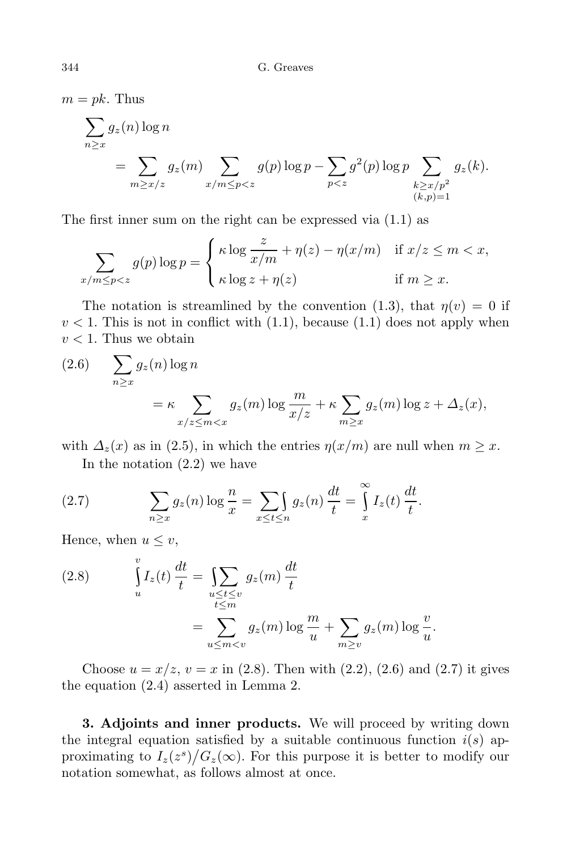$m = pk$ . Thus

$$
\sum_{n\geq x} g_z(n) \log n
$$
\n
$$
= \sum_{m\geq x/z} g_z(m) \sum_{x/m\leq p < z} g(p) \log p - \sum_{p< z} g^2(p) \log p \sum_{\substack{k\geq x/p^2\\(k,p)=1}} g_z(k).
$$

The first inner sum on the right can be expressed via (1.1) as

$$
\sum_{x/m \le p < z} g(p) \log p = \begin{cases} \kappa \log \frac{z}{x/m} + \eta(z) - \eta(x/m) & \text{if } x/z \le m < x, \\ \kappa \log z + \eta(z) & \text{if } m \ge x. \end{cases}
$$

The notation is streamlined by the convention (1.3), that  $\eta(v) = 0$  if  $v < 1$ . This is not in conflict with  $(1.1)$ , because  $(1.1)$  does not apply when  $v < 1$ . Thus we obtain

(2.6) 
$$
\sum_{n \ge x} g_z(n) \log n
$$
  
=  $\kappa \sum_{x/z \le m < x} g_z(m) \log \frac{m}{x/z} + \kappa \sum_{m \ge x} g_z(m) \log z + \Delta_z(x),$ 

with  $\Delta_z(x)$  as in (2.5), in which the entries  $\eta(x/m)$  are null when  $m \geq x$ . In the notation  $(2.2)$  we have

(2.7) 
$$
\sum_{n\geq x} g_z(n) \log \frac{n}{x} = \sum_{x\leq t\leq n} g_z(n) \frac{dt}{t} = \int_x^{\infty} I_z(t) \frac{dt}{t}.
$$

Hence, when  $u \leq v$ ,

(2.8) 
$$
\int_{u}^{v} I_{z}(t) \frac{dt}{t} = \sum_{\substack{u \le t \le v \\ t \le m}} g_{z}(m) \frac{dt}{t}
$$

$$
= \sum_{u \le m < v} g_{z}(m) \log \frac{m}{u} + \sum_{m \ge v} g_{z}(m) \log \frac{v}{u}
$$

Choose  $u = x/z$ ,  $v = x$  in (2.8). Then with (2.2), (2.6) and (2.7) it gives the equation (2.4) asserted in Lemma 2.

*.*

**3. Adjoints and inner products.** We will proceed by writing down the integral equation satisfied by a suitable continuous function  $i(s)$  approximating to  $I_z(z^s)/G_z(\infty)$ . For this purpose it is better to modify our notation somewhat, as follows almost at once.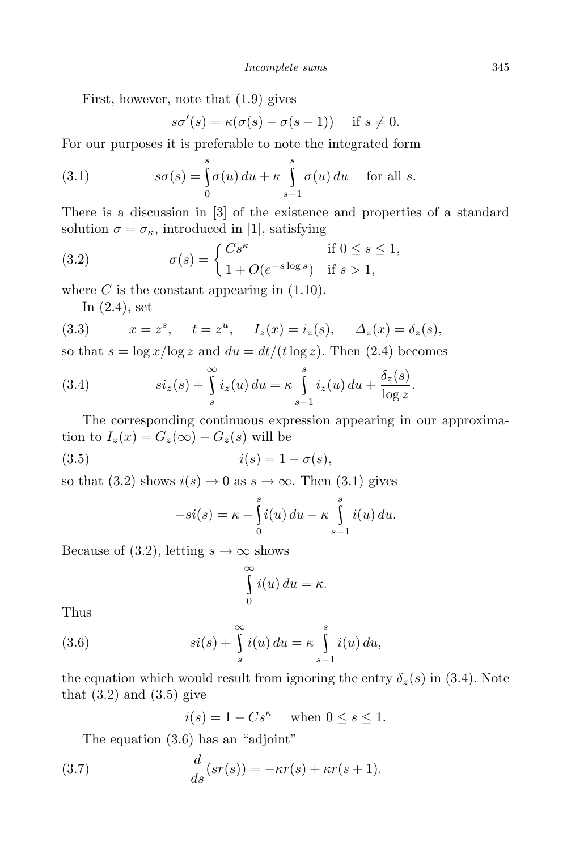First, however, note that (1.9) gives

$$
s\sigma'(s) = \kappa(\sigma(s) - \sigma(s - 1)) \quad \text{if } s \neq 0.
$$

For our purposes it is preferable to note the integrated form

(3.1) 
$$
s\sigma(s) = \int_{0}^{s} \sigma(u) du + \kappa \int_{s-1}^{s} \sigma(u) du \quad \text{for all } s.
$$

There is a discussion in [3] of the existence and properties of a standard solution  $\sigma = \sigma_{\kappa}$ , introduced in [1], satisfying

(3.2) 
$$
\sigma(s) = \begin{cases} Cs^{\kappa} & \text{if } 0 \le s \le 1, \\ 1 + O(e^{-s \log s}) & \text{if } s > 1, \end{cases}
$$

where  $C$  is the constant appearing in  $(1.10)$ .

In (2.4), set

(3.3) 
$$
x = z^s
$$
,  $t = z^u$ ,  $I_z(x) = i_z(s)$ ,  $\Delta_z(x) = \delta_z(s)$ ,

so that  $s = \log x / \log z$  and  $du = dt / (t \log z)$ . Then (2.4) becomes

(3.4) 
$$
si_z(s) + \int_s^{\infty} i_z(u) du = \kappa \int_{s-1}^s i_z(u) du + \frac{\delta_z(s)}{\log z}.
$$

The corresponding continuous expression appearing in our approximation to  $I_z(x) = G_z(\infty) - G_z(s)$  will be

$$
(3.5) \t\t i(s) = 1 - \sigma(s),
$$

so that (3.2) shows  $i(s) \to 0$  as  $s \to \infty$ . Then (3.1) gives

$$
-si(s) = \kappa - \int_{0}^{s} i(u) du - \kappa \int_{s-1}^{s} i(u) du.
$$

Because of (3.2), letting  $s \to \infty$  shows

$$
\int_{0}^{\infty} i(u) du = \kappa.
$$

Thus

(3.6) 
$$
si(s) + \int_{s}^{\infty} i(u) du = \kappa \int_{s-1}^{s} i(u) du,
$$

the equation which would result from ignoring the entry  $\delta_z(s)$  in (3.4). Note that  $(3.2)$  and  $(3.5)$  give

$$
i(s) = 1 - Cs^{\kappa} \quad \text{when } 0 \le s \le 1.
$$

The equation (3.6) has an "adjoint"

(3.7) 
$$
\frac{d}{ds}(sr(s)) = -\kappa r(s) + \kappa r(s+1).
$$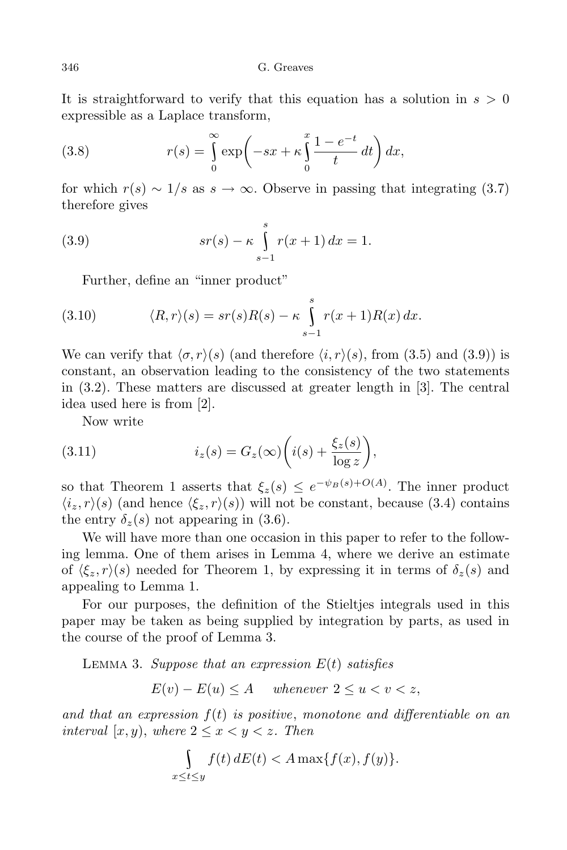346 G. Greaves

It is straightforward to verify that this equation has a solution in *s >* 0 expressible as a Laplace transform,

(3.8) 
$$
r(s) = \int_{0}^{\infty} \exp\left(-sx + \kappa \int_{0}^{x} \frac{1 - e^{-t}}{t} dt\right) dx,
$$

for which  $r(s) \sim 1/s$  as  $s \to \infty$ . Observe in passing that integrating (3.7) therefore gives

(3.9) 
$$
sr(s) - \kappa \int_{s-1}^{s} r(x+1) dx = 1.
$$

Further, define an "inner product"

(3.10) 
$$
\langle R, r \rangle (s) = sr(s)R(s) - \kappa \int_{s-1}^{s} r(x+1)R(x) dx.
$$

We can verify that  $\langle \sigma, r \rangle$ (*s*) (and therefore  $\langle i, r \rangle$ (*s*), from (3.5) and (3.9)) is constant, an observation leading to the consistency of the two statements in (3.2). These matters are discussed at greater length in [3]. The central idea used here is from [2].

Now write

(3.11) 
$$
i_z(s) = G_z(\infty) \left( i(s) + \frac{\xi_z(s)}{\log z} \right),
$$

so that Theorem 1 asserts that  $\xi_z(s) \leq e^{-\psi_B(s) + O(A)}$ . The inner product  $\langle i_z, r \rangle$ (*s*) (and hence  $\langle \xi_z, r \rangle$ (*s*)) will not be constant, because (3.4) contains the entry  $\delta_z(s)$  not appearing in (3.6).

We will have more than one occasion in this paper to refer to the following lemma. One of them arises in Lemma 4, where we derive an estimate of  $\langle \xi_z, r \rangle$ (*s*) needed for Theorem 1, by expressing it in terms of  $\delta_z(s)$  and appealing to Lemma 1.

For our purposes, the definition of the Stieltjes integrals used in this paper may be taken as being supplied by integration by parts, as used in the course of the proof of Lemma 3.

Lemma 3. *Suppose that an expression E*(*t*) *satisfies*

 $E(v) - E(u) \leq A$  *whenever*  $2 \leq u < v < z$ ,

*and that an expression f*(*t*) *is positive*, *monotone and differentiable on an interval*  $[x, y)$ *, where*  $2 \leq x \leq y \leq z$ *. Then* 

$$
\int_{x \le t \le y} f(t) dE(t) < A \max\{f(x), f(y)\}.
$$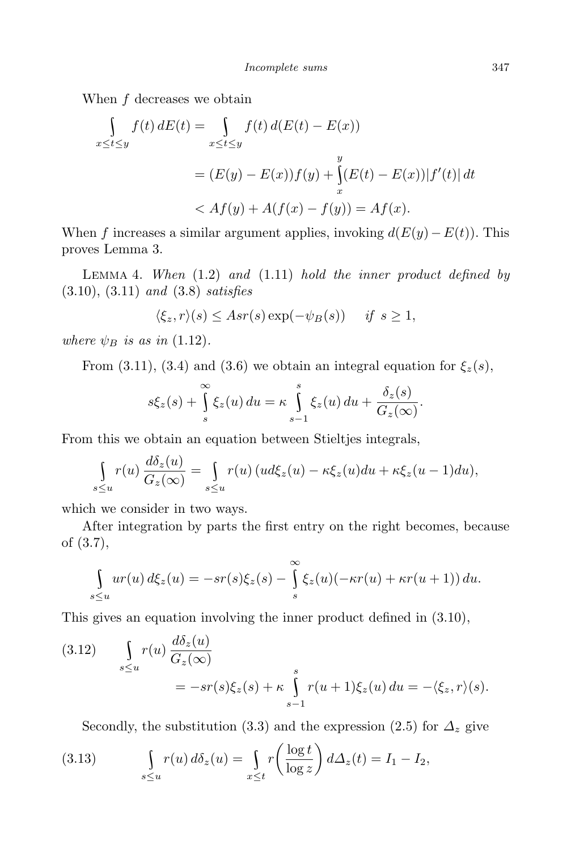When *f* decreases we obtain

$$
\int_{x \le t \le y} f(t) dE(t) = \int_{x \le t \le y} f(t) d(E(t) - E(x))
$$
\n
$$
= (E(y) - E(x))f(y) + \int_{x}^{y} (E(t) - E(x)) |f'(t)| dt
$$
\n
$$
< Af(y) + A(f(x) - f(y)) = Af(x).
$$

When *f* increases a similar argument applies, invoking  $d(E(y) - E(t))$ . This proves Lemma 3.

Lemma 4. *When* (1.2) *and* (1.11) *hold the inner product defined by* (3.10), (3.11) *and* (3.8) *satisfies*

$$
\langle \xi_z, r \rangle (s) \leq Asr(s) \exp(-\psi_B(s)) \quad \text{if } s \geq 1,
$$

*where*  $\psi_B$  *is as in* (1.12).

From (3.11), (3.4) and (3.6) we obtain an integral equation for  $\xi_z(s)$ ,

$$
s\xi_z(s) + \int_s^{\infty} \xi_z(u) du = \kappa \int_{s-1}^s \xi_z(u) du + \frac{\delta_z(s)}{G_z(\infty)}.
$$

From this we obtain an equation between Stieltjes integrals,

$$
\int_{s\leq u} r(u) \frac{d\delta_z(u)}{G_z(\infty)} = \int_{s\leq u} r(u) (ud\xi_z(u) - \kappa \xi_z(u) du + \kappa \xi_z(u-1) du),
$$

which we consider in two ways.

After integration by parts the first entry on the right becomes, because of (3.7),

$$
\int_{s\leq u}ur(u)\,d\xi_z(u)=-sr(s)\xi_z(s)-\int_{s}^{\infty}\xi_z(u)(-\kappa r(u)+\kappa r(u+1))\,du.
$$

This gives an equation involving the inner product defined in (3.10),

(3.12) 
$$
\int_{s\leq u} r(u) \frac{d\delta_z(u)}{G_z(\infty)} = -sr(s)\xi_z(s) + \kappa \int_{s-1}^s r(u+1)\xi_z(u) du = -\langle \xi_z, r \rangle(s).
$$

Secondly, the substitution (3.3) and the expression (2.5) for  $\Delta_z$  give

(3.13) 
$$
\int_{s\leq u} r(u) d\delta_z(u) = \int_{x\leq t} r\left(\frac{\log t}{\log z}\right) d\Delta_z(t) = I_1 - I_2,
$$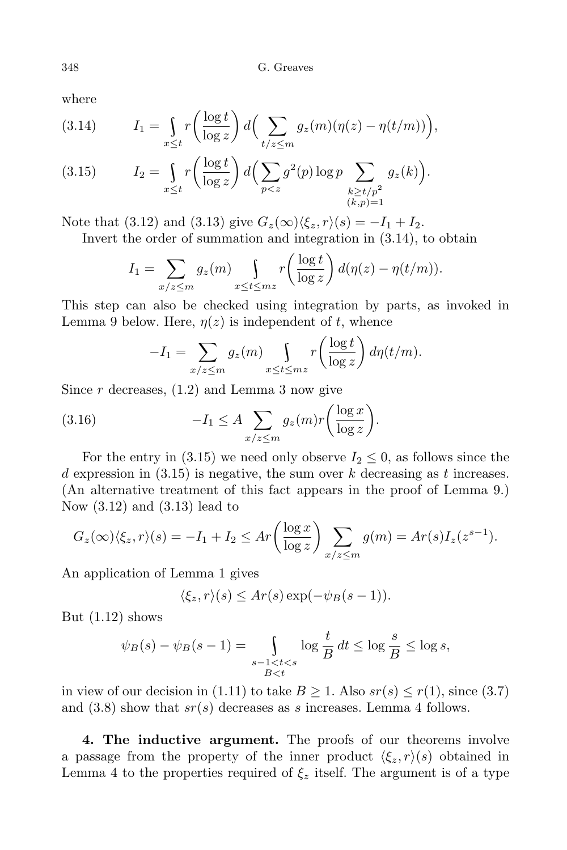where

(3.14) 
$$
I_1 = \int_{x \le t} r \left( \frac{\log t}{\log z} \right) d \left( \sum_{t/z \le m} g_z(m) (\eta(z) - \eta(t/m)) \right),
$$

$$
(3.15) \t I2 = \int_{x \le t} r \left( \frac{\log t}{\log z} \right) d \left( \sum_{p < z} g^2(p) \log p \sum_{\substack{k \ge t/p^2 \\ (k,p)=1}} g_z(k) \right).
$$

Note that (3.12) and (3.13) give  $G_z(\infty)\langle \xi_z, r \rangle(s) = -I_1 + I_2$ .

Invert the order of summation and integration in (3.14), to obtain

$$
I_1 = \sum_{x/z \le m} g_z(m) \int_{x \le t \le mz} r\left(\frac{\log t}{\log z}\right) d(\eta(z) - \eta(t/m)).
$$

This step can also be checked using integration by parts, as invoked in Lemma 9 below. Here,  $\eta(z)$  is independent of *t*, whence

$$
-I_1 = \sum_{x/z \le m} g_z(m) \int_{x \le t \le mz} r\left(\frac{\log t}{\log z}\right) d\eta(t/m).
$$

Since *r* decreases, (1.2) and Lemma 3 now give

(3.16) 
$$
-I_1 \leq A \sum_{x/z \leq m} g_z(m)r \bigg(\frac{\log x}{\log z}\bigg).
$$

For the entry in (3.15) we need only observe  $I_2 \leq 0$ , as follows since the *d* expression in (3.15) is negative, the sum over *k* decreasing as *t* increases. (An alternative treatment of this fact appears in the proof of Lemma 9.) Now (3.12) and (3.13) lead to

$$
G_z(\infty)\langle \xi_z, r \rangle(s) = -I_1 + I_2 \le Ar\left(\frac{\log x}{\log z}\right) \sum_{x/z \le m} g(m) = Ar(s)I_z(z^{s-1}).
$$

An application of Lemma 1 gives

$$
\langle \xi_z, r \rangle (s) \le Ar(s) \exp(-\psi_B(s-1)).
$$

But  $(1.12)$  shows

$$
\psi_B(s) - \psi_B(s-1) = \int\limits_{\substack{s-1 < t < s \\ B < t}} \log \frac{t}{B} dt \le \log \frac{s}{B} \le \log s,
$$

in view of our decision in (1.11) to take  $B \geq 1$ . Also  $sr(s) \leq r(1)$ , since (3.7) and (3.8) show that *sr*(*s*) decreases as *s* increases. Lemma 4 follows.

**4. The inductive argument.** The proofs of our theorems involve a passage from the property of the inner product  $\langle \xi_z, r \rangle (s)$  obtained in Lemma 4 to the properties required of  $\xi$ <sup>*z*</sup> itself. The argument is of a type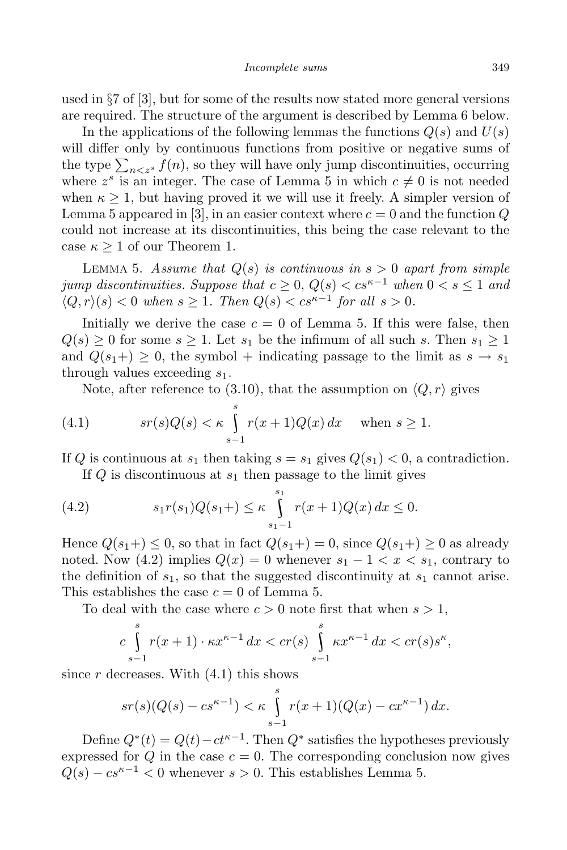used in *§*7 of [3], but for some of the results now stated more general versions are required. The structure of the argument is described by Lemma 6 below.

In the applications of the following lemmas the functions  $Q(s)$  and  $U(s)$ will differ only by continuous functions from positive or negative sums of the type  $\sum_{n \leq z^s} f(n)$ , so they will have only jump discontinuities, occurring where  $z^s$  is an integer. The case of Lemma 5 in which  $c \neq 0$  is not needed when  $\kappa \geq 1$ , but having proved it we will use it freely. A simpler version of Lemma 5 appeared in [3], in an easier context where  $c = 0$  and the function  $Q$ could not increase at its discontinuities, this being the case relevant to the case  $\kappa \geq 1$  of our Theorem 1.

LEMMA 5. Assume that  $Q(s)$  is continuous in  $s > 0$  apart from simple *jump discontinuities. Suppose that*  $c \geq 0$ ,  $Q(s) < cs^{\kappa-1}$  *when*  $0 < s \leq 1$  *and*  $\langle Q, r \rangle$ (*s*) < 0 *when s* ≥ 1*. Then*  $Q(s) < cs^{\kappa-1}$  *for all s* > 0*.* 

Initially we derive the case  $c = 0$  of Lemma 5. If this were false, then  $Q(s) \geq 0$  for some  $s \geq 1$ . Let  $s_1$  be the infimum of all such *s*. Then  $s_1 \geq 1$ and  $Q(s_1+) \geq 0$ , the symbol + indicating passage to the limit as  $s \to s_1$ through values exceeding *s*1.

Note, after reference to (3.10), that the assumption on  $\langle Q, r \rangle$  gives

(4.1) 
$$
sr(s)Q(s) < \kappa \int_{s-1}^{s} r(x+1)Q(x) dx \quad \text{when } s \ge 1.
$$

If *Q* is continuous at  $s_1$  then taking  $s = s_1$  gives  $Q(s_1) < 0$ , a contradiction. If *Q* is discontinuous at *s*<sup>1</sup> then passage to the limit gives

(4.2) 
$$
s_1 r(s_1) Q(s_1+) \leq \kappa \int_{s_1-1}^{s_1} r(x+1) Q(x) dx \leq 0.
$$

Hence  $Q(s_1+) \leq 0$ , so that in fact  $Q(s_1+) = 0$ , since  $Q(s_1+) \geq 0$  as already noted. Now (4.2) implies  $Q(x) = 0$  whenever  $s_1 - 1 < x < s_1$ , contrary to the definition of  $s_1$ , so that the suggested discontinuity at  $s_1$  cannot arise. This establishes the case  $c = 0$  of Lemma 5.

To deal with the case where  $c > 0$  note first that when  $s > 1$ ,

$$
c\int_{s-1}^{s} r(x+1)\cdot \kappa x^{\kappa-1} dx < cr(s) \int_{s-1}^{s} \kappa x^{\kappa-1} dx < cr(s)s^{\kappa},
$$

since  $r$  decreases. With  $(4.1)$  this shows

$$
sr(s)(Q(s) - cs^{\kappa-1}) < \kappa \int_{s-1}^{s} r(x+1)(Q(x) - cx^{\kappa-1}) \, dx.
$$

Define  $Q^*(t) = Q(t) - ct^{\kappa-1}$ . Then  $Q^*$  satisfies the hypotheses previously expressed for  $Q$  in the case  $c = 0$ . The corresponding conclusion now gives  $Q(s) - cs^{\kappa-1} < 0$  whenever  $s > 0$ . This establishes Lemma 5.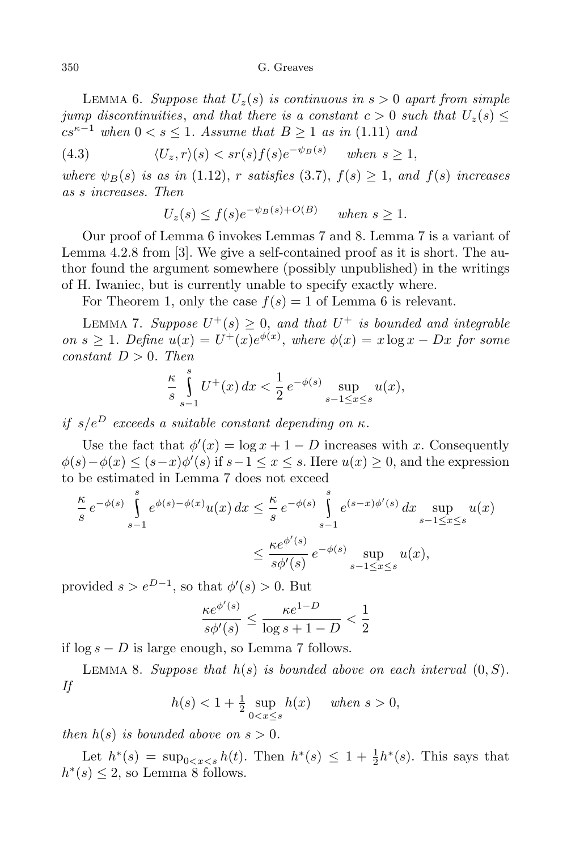LEMMA 6. *Suppose that*  $U_z(s)$  *is continuous in*  $s > 0$  *apart from simple jump* discontinuities, and that there is a constant  $c > 0$  *such that*  $U_z(s) \leq$ *cs*<sup> $κ-1$ </sup> *when* 0 < *s* ≤ 1*. Assume that*  $B \ge 1$  *as in* (1.11) *and* 

(4.3) 
$$
\langle U_z, r \rangle (s) < sr(s) f(s) e^{-\psi_B(s)} \quad \text{when } s \ge 1,
$$

*where*  $\psi_B(s)$  *is as in* (1.12), *r satisfies* (3.7),  $f(s) \geq 1$ , *and*  $f(s)$  *increases as s increases. Then*

$$
U_z(s) \le f(s)e^{-\psi_B(s) + O(B)} \quad when \ s \ge 1.
$$

Our proof of Lemma 6 invokes Lemmas 7 and 8. Lemma 7 is a variant of Lemma 4.2.8 from [3]. We give a self-contained proof as it is short. The author found the argument somewhere (possibly unpublished) in the writings of H. Iwaniec, but is currently unable to specify exactly where.

For Theorem 1, only the case  $f(s) = 1$  of Lemma 6 is relevant.

LEMMA 7. *Suppose*  $U^+(s) \geq 0$ , and that  $U^+$  is bounded and integrable  $\omega$  *on*  $s \geq 1$ *. Define*  $u(x) = U^+(x)e^{\phi(x)}$ , where  $\phi(x) = x \log x - Dx$  for some *constant*  $D > 0$ *. Then* 

$$
\frac{\kappa}{s} \int_{s-1}^{s} U^+(x) \, dx < \frac{1}{2} \, e^{-\phi(s)} \sup_{s-1 \le x \le s} u(x),
$$

*if*  $s/e^D$  *exceeds a suitable constant depending on*  $\kappa$ *.* 

Use the fact that  $\phi'(x) = \log x + 1 - D$  increases with *x*. Consequently  $\phi(s) - \phi(x) \le (s - x)\phi'(s)$  if  $s - 1 \le x \le s$ . Here  $u(x) \ge 0$ , and the expression to be estimated in Lemma 7 does not exceed

$$
\frac{\kappa}{s} e^{-\phi(s)} \int_{s-1}^{s} e^{\phi(s) - \phi(x)} u(x) dx \le \frac{\kappa}{s} e^{-\phi(s)} \int_{s-1}^{s} e^{(s-x)\phi'(s)} dx \sup_{s-1 \le x \le s} u(x)
$$

$$
\le \frac{\kappa e^{\phi'(s)}}{s\phi'(s)} e^{-\phi(s)} \sup_{s-1 \le x \le s} u(x),
$$

provided  $s > e^{D-1}$ , so that  $\phi'(s) > 0$ . But

$$
\frac{\kappa e^{\phi'(s)}}{s\phi'(s)}\leq \frac{\kappa e^{1-D}}{\log s+1-D}<\frac{1}{2}
$$

if log *s − D* is large enough, so Lemma 7 follows.

LEMMA 8. *Suppose that*  $h(s)$  *is bounded above on each interval*  $(0, S)$ *. If*

$$
h(s) < 1 + \frac{1}{2} \sup_{0 < x \le s} h(x) \quad \text{when } s > 0,
$$

*then*  $h(s)$  *is bounded above on*  $s > 0$ *.* 

Let  $h^*(s) = \sup_{0 \le x \le s} h(t)$ . Then  $h^*(s) \le 1 + \frac{1}{2}h^*(s)$ . This says that  $h^*(s) \leq 2$ , so Lemma 8 follows.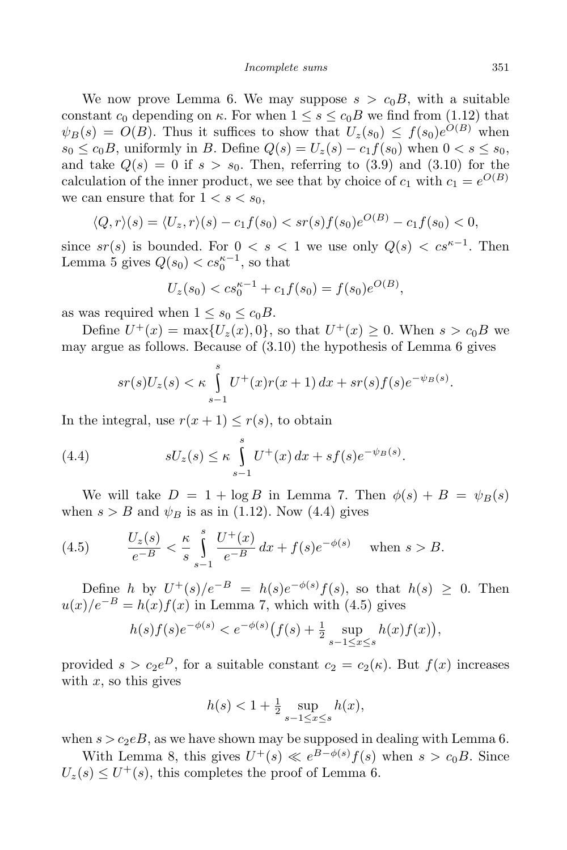We now prove Lemma 6. We may suppose  $s > c_0B$ , with a suitable constant  $c_0$  depending on  $\kappa$ . For when  $1 \leq s \leq c_0 B$  we find from (1.12) that  $\psi_B(s) = O(B)$ . Thus it suffices to show that  $U_z(s_0) \leq f(s_0)e^{O(B)}$  when *s*<sup>0</sup> ≤ *c*<sub>0</sub>*B*, uniformly in *B*. Define  $Q(s) = U_z(s) - c_1 f(s_0)$  when  $0 < s ≤ s_0$ , and take  $Q(s) = 0$  if  $s > s_0$ . Then, referring to (3.9) and (3.10) for the calculation of the inner product, we see that by choice of  $c_1$  with  $c_1 = e^{O(B)}$ we can ensure that for  $1 < s < s_0$ ,

$$
\langle Q, r \rangle(s) = \langle U_z, r \rangle(s) - c_1 f(s_0) < s r(s) f(s_0) e^{O(B)} - c_1 f(s_0) < 0,
$$

since  $sr(s)$  is bounded. For  $0 < s < 1$  we use only  $Q(s) < cs^{\kappa-1}$ . Then Lemma 5 gives  $Q(s_0) < cs_0^{\kappa-1}$ , so that

$$
U_z(s_0) < c s_0^{\kappa - 1} + c_1 f(s_0) = f(s_0) e^{O(B)},
$$

as was required when  $1 \leq s_0 \leq c_0 B$ .

Define  $U^+(x) = \max\{U_z(x), 0\}$ , so that  $U^+(x) \ge 0$ . When  $s > c_0 B$  we may argue as follows. Because of (3.10) the hypothesis of Lemma 6 gives

$$
sr(s)U_z(s) < \kappa \int_{s-1}^s U^+(x)r(x+1) \, dx + sr(s)f(s)e^{-\psi_B(s)}.
$$

In the integral, use  $r(x + 1) \leq r(s)$ , to obtain

(4.4) 
$$
sU_z(s) \leq \kappa \int_{s-1}^s U^+(x) dx + sf(s)e^{-\psi_B(s)}.
$$

We will take  $D = 1 + \log B$  in Lemma 7. Then  $\phi(s) + B = \psi_B(s)$ when  $s > B$  and  $\psi_B$  is as in (1.12). Now (4.4) gives

(4.5) 
$$
\frac{U_z(s)}{e^{-B}} < \frac{\kappa}{s} \int_{s-1}^s \frac{U^+(x)}{e^{-B}} \, dx + f(s) e^{-\phi(s)} \quad \text{when } s > B.
$$

Define *h* by  $U^+(s)/e^{-B} = h(s)e^{-\phi(s)}f(s)$ , so that  $h(s) \geq 0$ . Then  $u(x)/e^{-B} = h(x)f(x)$  in Lemma 7, which with (4.5) gives

$$
h(s)f(s)e^{-\phi(s)} < e^{-\phi(s)}\big(f(s) + \frac{1}{2}\sup_{s-1 \le x \le s} h(x)f(x)\big),
$$

provided  $s > c_2e^D$ , for a suitable constant  $c_2 = c_2(\kappa)$ . But  $f(x)$  increases with  $x$ , so this gives

$$
h(s) < 1 + \frac{1}{2} \sup_{s-1 \le x \le s} h(x),
$$

when  $s > c_2eB$ , as we have shown may be supposed in dealing with Lemma 6.

With Lemma 8, this gives  $U^+(s) \ll e^{B-\phi(s)}f(s)$  when  $s > c_0B$ . Since  $U_z(s) \leq U^+(s)$ , this completes the proof of Lemma 6.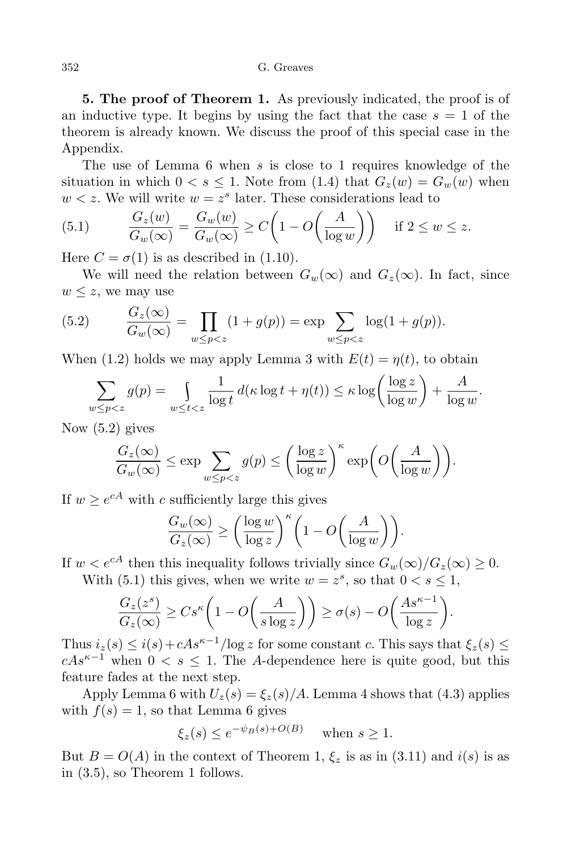**5. The proof of Theorem 1.** As previously indicated, the proof is of an inductive type. It begins by using the fact that the case  $s = 1$  of the theorem is already known. We discuss the proof of this special case in the Appendix.

The use of Lemma 6 when *s* is close to 1 requires knowledge of the situation in which  $0 < s \leq 1$ . Note from (1.4) that  $G_z(w) = G_w(w)$  when  $w < z$ . We will write  $w = z^s$  later. These considerations lead to

(5.1) 
$$
\frac{G_z(w)}{G_w(\infty)} = \frac{G_w(w)}{G_w(\infty)} \ge C\left(1 - O\left(\frac{A}{\log w}\right)\right) \quad \text{if } 2 \le w \le z.
$$

Here  $C = \sigma(1)$  is as described in (1.10).

We will need the relation between  $G_w(\infty)$  and  $G_z(\infty)$ . In fact, since  $w \leq z$ , we may use

(5.2) 
$$
\frac{G_z(\infty)}{G_w(\infty)} = \prod_{w \le p < z} (1 + g(p)) = \exp \sum_{w \le p < z} \log(1 + g(p)).
$$

When (1.2) holds we may apply Lemma 3 with  $E(t) = \eta(t)$ , to obtain

$$
\sum_{w \le p < z} g(p) = \int_{w \le t < z} \frac{1}{\log t} \, d(\kappa \log t + \eta(t)) \le \kappa \log \left( \frac{\log z}{\log w} \right) + \frac{A}{\log w}.
$$

Now (5.2) gives

$$
\frac{G_z(\infty)}{G_w(\infty)} \le \exp \sum_{w \le p < z} g(p) \le \left(\frac{\log z}{\log w}\right)^{\kappa} \exp \bigg(O\bigg(\frac{A}{\log w}\bigg)\bigg).
$$

If  $w \ge e^{cA}$  with *c* sufficiently large this gives

$$
\frac{G_w(\infty)}{G_z(\infty)} \ge \left(\frac{\log w}{\log z}\right)^{\kappa} \left(1 - O\left(\frac{A}{\log w}\right)\right).
$$

If  $w < e^{cA}$  then this inequality follows trivially since  $G_w(\infty)/G_z(\infty) \geq 0$ .

With (5.1) this gives, when we write  $w = z^s$ , so that  $0 < s \leq 1$ ,

$$
\frac{G_z(z^s)}{G_z(\infty)} \ge Cs^{\kappa} \left(1 - O\left(\frac{A}{s \log z}\right)\right) \ge \sigma(s) - O\left(\frac{As^{\kappa - 1}}{\log z}\right).
$$

Thus  $i_z(s) \leq i(s) + cAs^{\kappa-1}/\log z$  for some constant *c*. This says that  $\xi_z(s) \leq$  $cAs^{\kappa-1}$  when  $0 < s \leq 1$ . The *A*-dependence here is quite good, but this feature fades at the next step.

Apply Lemma 6 with  $U_z(s) = \xi_z(s)/A$ . Lemma 4 shows that (4.3) applies with  $f(s) = 1$ , so that Lemma 6 gives

$$
\xi_z(s) \le e^{-\psi_B(s) + O(B)} \quad \text{when } s \ge 1.
$$

But  $B = O(A)$  in the context of Theorem 1,  $\xi_z$  is as in (3.11) and  $i(s)$  is as in (3.5), so Theorem 1 follows.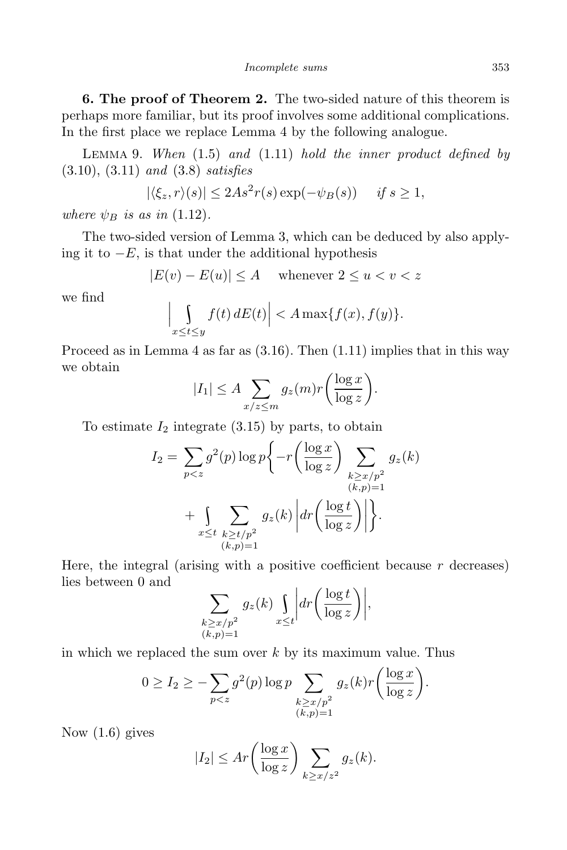*Incomplete sums* 353

**6. The proof of Theorem 2.** The two-sided nature of this theorem is perhaps more familiar, but its proof involves some additional complications. In the first place we replace Lemma 4 by the following analogue.

Lemma 9. *When* (1.5) *and* (1.11) *hold the inner product defined by* (3.10), (3.11) *and* (3.8) *satisfies*

$$
|\langle \xi_z, r \rangle(s)| \le 2As^2 r(s) \exp(-\psi_B(s)) \quad \text{if } s \ge 1,
$$

*where*  $\psi_B$  *is as in* (1.12).

 $\overline{\phantom{a}}$  $\overline{\phantom{a}}$  $\overline{1}$ 

The two-sided version of Lemma 3, which can be deduced by also applying it to *−E*, is that under the additional hypothesis

$$
|E(v) - E(u)| \le A \quad \text{ whenever } 2 \le u < v < z
$$

we find

$$
\left| \int_{x \le t \le y} f(t) \, dE(t) \right| < A \max\{f(x), f(y)\}.
$$

Proceed as in Lemma 4 as far as  $(3.16)$ . Then  $(1.11)$  implies that in this way we obtain

$$
|I_1| \le A \sum_{x/z \le m} g_z(m)r \bigg(\frac{\log x}{\log z}\bigg).
$$

To estimate  $I_2$  integrate  $(3.15)$  by parts, to obtain

$$
I_2 = \sum_{p < z} g^2(p) \log p \left\{ -r \left( \frac{\log x}{\log z} \right) \sum_{\substack{k \ge x/p^2 \\ (k,p)=1}} g_z(k) \right. \\ \left. + \sum_{x \le t} \sum_{\substack{k \ge t/p^2 \\ (k,p)=1}} g_z(k) \left| dr \left( \frac{\log t}{\log z} \right) \right| \right\}.
$$

Here, the integral (arising with a positive coefficient because *r* decreases) lies between 0 and

$$
\sum_{\substack{k \ge x/p^2 \\ (k,p)=1}} g_z(k) \int_{x \le t} dr \left( \frac{\log t}{\log z} \right) \Big|,
$$

in which we replaced the sum over *k* by its maximum value. Thus

$$
0 \ge I_2 \ge -\sum_{p < z} g^2(p) \log p \sum_{\substack{k \ge x/p^2\\(k,p)=1}} g_z(k) r \left( \frac{\log x}{\log z} \right).
$$

Now (1.6) gives

$$
|I_2| \le Ar \left(\frac{\log x}{\log z}\right) \sum_{k \ge x/z^2} g_z(k).
$$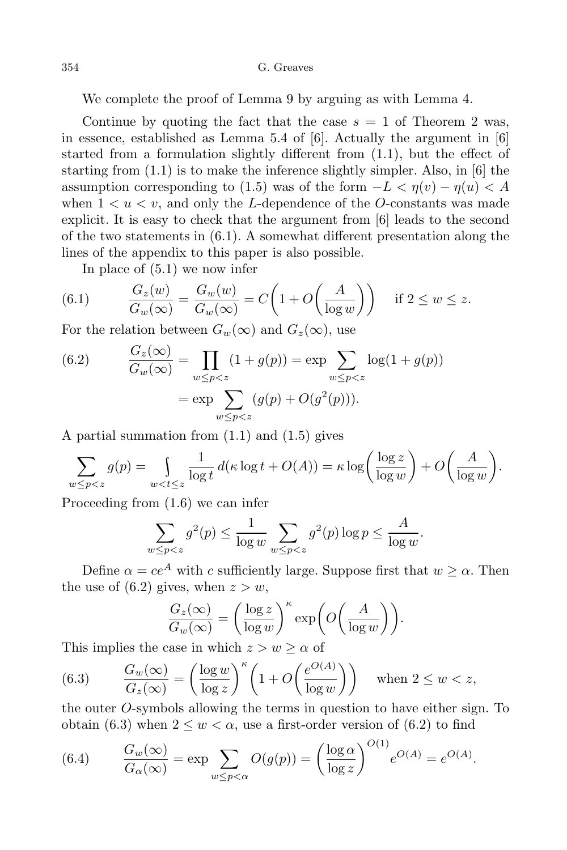354 G. Greaves

We complete the proof of Lemma 9 by arguing as with Lemma 4.

Continue by quoting the fact that the case  $s = 1$  of Theorem 2 was, in essence, established as Lemma 5.4 of  $[6]$ . Actually the argument in  $[6]$ started from a formulation slightly different from (1.1), but the effect of starting from (1.1) is to make the inference slightly simpler. Also, in [6] the assumption corresponding to (1.5) was of the form  $-L < η(v) - η(u) < A$ when  $1 \leq u \leq v$ , and only the *L*-dependence of the *O*-constants was made explicit. It is easy to check that the argument from [6] leads to the second of the two statements in (6.1). A somewhat different presentation along the lines of the appendix to this paper is also possible.

In place of (5.1) we now infer

(6.1) 
$$
\frac{G_z(w)}{G_w(\infty)} = \frac{G_w(w)}{G_w(\infty)} = C\left(1 + O\left(\frac{A}{\log w}\right)\right) \quad \text{if } 2 \le w \le z.
$$

For the relation between  $G_w(\infty)$  and  $G_z(\infty)$ , use

(6.2) 
$$
\frac{G_z(\infty)}{G_w(\infty)} = \prod_{w \le p < z} (1 + g(p)) = \exp \sum_{w \le p < z} \log(1 + g(p))
$$
\n
$$
= \exp \sum_{w \le p < z} (g(p) + O(g^2(p))).
$$

A partial summation from (1.1) and (1.5) gives

$$
\sum_{w \le p < z} g(p) = \int_{w < t \le z} \frac{1}{\log t} \, d(\kappa \log t + O(A)) = \kappa \log \left( \frac{\log z}{\log w} \right) + O\left( \frac{A}{\log w} \right).
$$

Proceeding from (1.6) we can infer

$$
\sum_{w \le p < z} g^2(p) \le \frac{1}{\log w} \sum_{w \le p < z} g^2(p) \log p \le \frac{A}{\log w}.
$$

Define  $\alpha = ce^A$  with *c* sufficiently large. Suppose first that  $w \geq \alpha$ . Then the use of  $(6.2)$  gives, when  $z > w$ ,

$$
\frac{G_z(\infty)}{G_w(\infty)} = \left(\frac{\log z}{\log w}\right)^{\kappa} \exp\bigg(O\bigg(\frac{A}{\log w}\bigg)\bigg).
$$

This implies the case in which  $z > w \geq \alpha$  of

(6.3) 
$$
\frac{G_w(\infty)}{G_z(\infty)} = \left(\frac{\log w}{\log z}\right)^{\kappa} \left(1 + O\left(\frac{e^{O(A)}}{\log w}\right)\right) \text{ when } 2 \le w < z,
$$

the outer *O*-symbols allowing the terms in question to have either sign. To obtain (6.3) when  $2 \leq w \leq \alpha$ , use a first-order version of (6.2) to find

(6.4) 
$$
\frac{G_w(\infty)}{G_\alpha(\infty)} = \exp \sum_{w \le p < \alpha} O(g(p)) = \left(\frac{\log \alpha}{\log z}\right)^{O(1)} e^{O(A)} = e^{O(A)}.
$$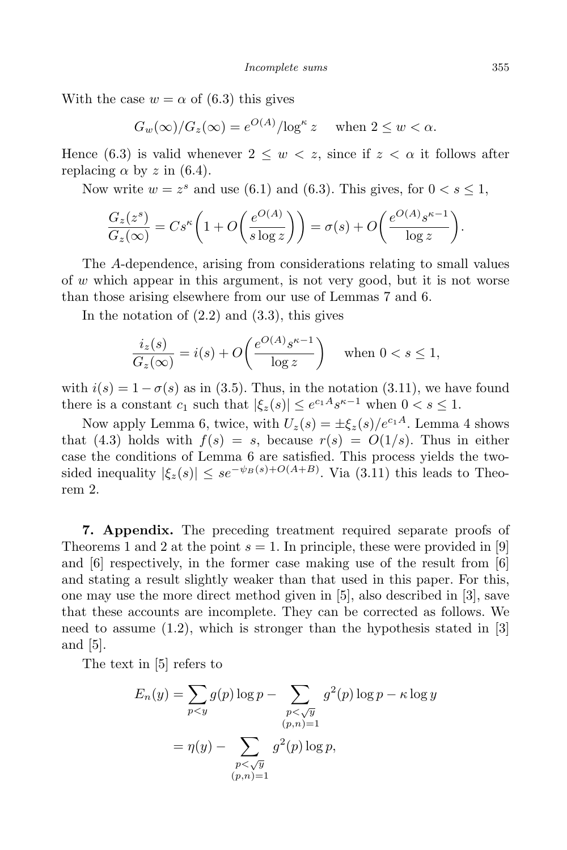With the case  $w = \alpha$  of (6.3) this gives

$$
G_w(\infty)/G_z(\infty) = e^{O(A)}/\log^{\kappa} z \quad \text{when } 2 \le w < \alpha.
$$

Hence (6.3) is valid whenever  $2 \leq w \leq z$ , since if  $z \leq \alpha$  it follows after replacing  $\alpha$  by  $z$  in (6.4).

Now write  $w = z^s$  and use (6.1) and (6.3). This gives, for  $0 < s \leq 1$ ,

$$
\frac{G_z(z^s)}{G_z(\infty)} = Cs^{\kappa} \left( 1 + O\left(\frac{e^{O(A)}}{s \log z}\right) \right) = \sigma(s) + O\left(\frac{e^{O(A)} s^{\kappa - 1}}{\log z}\right).
$$

The *A*-dependence, arising from considerations relating to small values of *w* which appear in this argument, is not very good, but it is not worse than those arising elsewhere from our use of Lemmas 7 and 6.

In the notation of  $(2.2)$  and  $(3.3)$ , this gives

$$
\frac{i_z(s)}{G_z(\infty)} = i(s) + O\left(\frac{e^{O(A)}s^{\kappa - 1}}{\log z}\right) \quad \text{when } 0 < s \le 1,
$$

with  $i(s) = 1 - \sigma(s)$  as in (3.5). Thus, in the notation (3.11), we have found there is a constant  $c_1$  such that  $|\xi_z(s)| \leq e^{c_1 A} s^{\kappa - 1}$  when  $0 < s \leq 1$ .

Now apply Lemma 6, twice, with  $U_z(s) = \pm \xi_z(s)/e^{c_1A}$ . Lemma 4 shows that (4.3) holds with  $f(s) = s$ , because  $r(s) = O(1/s)$ . Thus in either case the conditions of Lemma 6 are satisfied. This process yields the twosided inequality  $|\xi_z(s)| \leq s e^{-\psi_B(s) + O(A+B)}$ . Via (3.11) this leads to Theorem 2.

**7. Appendix.** The preceding treatment required separate proofs of Theorems 1 and 2 at the point  $s = 1$ . In principle, these were provided in [9] and  $[6]$  respectively, in the former case making use of the result from  $[6]$ and stating a result slightly weaker than that used in this paper. For this, one may use the more direct method given in [5], also described in [3], save that these accounts are incomplete. They can be corrected as follows. We need to assume  $(1.2)$ , which is stronger than the hypothesis stated in [3] and [5].

The text in [5] refers to

$$
E_n(y) = \sum_{p < y} g(p) \log p - \sum_{\substack{p < \sqrt{y} \\ (p,n)=1}} g^2(p) \log p - \kappa \log y
$$

$$
= \eta(y) - \sum_{\substack{p < \sqrt{y} \\ (p,n)=1}} g^2(p) \log p,
$$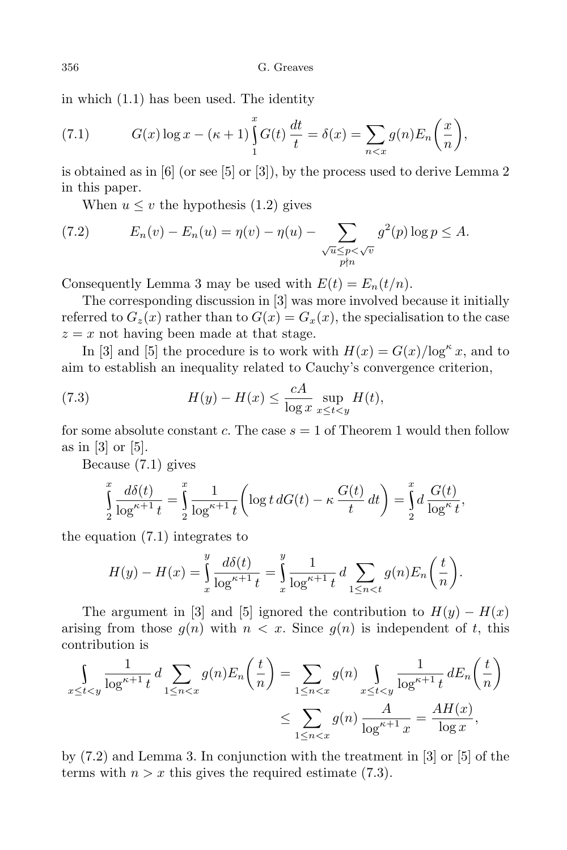in which (1.1) has been used. The identity

(7.1) 
$$
G(x) \log x - (\kappa + 1) \int_{1}^{x} G(t) \frac{dt}{t} = \delta(x) = \sum_{n < x} g(n) E_n\left(\frac{x}{n}\right),
$$

is obtained as in [6] (or see [5] or [3]), by the process used to derive Lemma 2 in this paper.

When  $u \leq v$  the hypothesis (1.2) gives

(7.2) 
$$
E_n(v) - E_n(u) = \eta(v) - \eta(u) - \sum_{\substack{\sqrt{u} \le p < \sqrt{v} \\ p \nmid n}} g^2(p) \log p \le A.
$$

Consequently Lemma 3 may be used with  $E(t) = E_n(t/n)$ .

The corresponding discussion in [3] was more involved because it initially referred to  $G_z(x)$  rather than to  $G(x) = G_x(x)$ , the specialisation to the case  $z = x$  not having been made at that stage.

In [3] and [5] the procedure is to work with  $H(x) = G(x)/\log^{\kappa} x$ , and to aim to establish an inequality related to Cauchy's convergence criterion,

(7.3) 
$$
H(y) - H(x) \le \frac{cA}{\log x} \sup_{x \le t < y} H(t),
$$

for some absolute constant *c*. The case *s* = 1 of Theorem 1 would then follow as in [3] or [5].

Because (7.1) gives

$$
\int_{2}^{x} \frac{d\delta(t)}{\log^{\kappa+1} t} = \int_{2}^{x} \frac{1}{\log^{\kappa+1} t} \left( \log t \, dG(t) - \kappa \, \frac{G(t)}{t} \, dt \right) = \int_{2}^{x} d \, \frac{G(t)}{\log^{\kappa} t},
$$

the equation (7.1) integrates to

$$
H(y) - H(x) = \int_{x}^{y} \frac{d\delta(t)}{\log^{\kappa+1} t} = \int_{x}^{y} \frac{1}{\log^{\kappa+1} t} d \sum_{1 \le n < t} g(n) E_n\left(\frac{t}{n}\right).
$$

The argument in [3] and [5] ignored the contribution to  $H(y) - H(x)$ arising from those  $g(n)$  with  $n < x$ . Since  $g(n)$  is independent of t, this contribution is

$$
\int_{x \le t < y} \frac{1}{\log^{\kappa+1} t} d \sum_{1 \le n < x} g(n) E_n \left( \frac{t}{n} \right) = \sum_{1 \le n < x} g(n) \int_{x \le t < y} \frac{1}{\log^{\kappa+1} t} dE_n \left( \frac{t}{n} \right)
$$

$$
\le \sum_{1 \le n < x} g(n) \frac{A}{\log^{\kappa+1} x} = \frac{AH(x)}{\log x},
$$

by  $(7.2)$  and Lemma 3. In conjunction with the treatment in [3] or [5] of the terms with  $n > x$  this gives the required estimate (7.3).